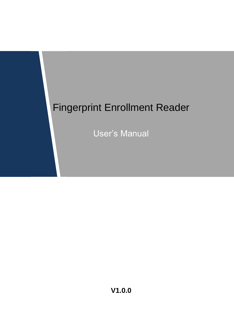# Fingerprint Enrollment Reader

User's Manual

**V1.0.0**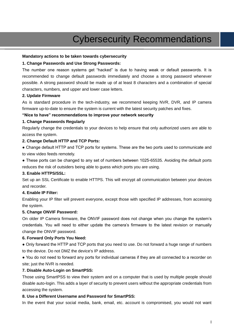# Cybersecurity Recommendations

#### <span id="page-1-0"></span>**Mandatory actions to be taken towards cybersecurity**

#### **1. Change Passwords and Use Strong Passwords:**

The number one reason systems get "hacked" is due to having weak or default passwords. It is recommended to change default passwords immediately and choose a strong password whenever possible. A strong password should be made up of at least 8 characters and a combination of special characters, numbers, and upper and lower case letters.

#### **2. Update Firmware**

As is standard procedure in the tech-industry, we recommend keeping NVR, DVR, and IP camera firmware up-to-date to ensure the system is current with the latest security patches and fixes.

#### **"Nice to have" recommendations to improve your network security**

#### **1. Change Passwords Regularly**

Regularly change the credentials to your devices to help ensure that only authorized users are able to access the system.

#### **2. Change Default HTTP and TCP Ports:**

• Change default HTTP and TCP ports for systems. These are the two ports used to communicate and to view video feeds remotely.

● These ports can be changed to any set of numbers between 1025-65535. Avoiding the default ports reduces the risk of outsiders being able to guess which ports you are using.

#### **3. Enable HTTPS/SSL:**

Set up an SSL Certificate to enable HTTPS. This will encrypt all communication between your devices and recorder.

#### **4. Enable IP Filter:**

Enabling your IP filter will prevent everyone, except those with specified IP addresses, from accessing the system.

#### **5. Change ONVIF Password:**

On older IP Camera firmware, the ONVIF password does not change when you change the system's credentials. You will need to either update the camera's firmware to the latest revision or manually change the ONVIF password.

#### **6. Forward Only Ports You Need:**

• Only forward the HTTP and TCP ports that you need to use. Do not forward a huge range of numbers to the device. Do not DMZ the device's IP address.

● You do not need to forward any ports for individual cameras if they are all connected to a recorder on site; just the NVR is needed.

#### **7. Disable Auto-Login on SmartPSS:**

Those using SmartPSS to view their system and on a computer that is used by multiple people should disable auto-login. This adds a layer of security to prevent users without the appropriate credentials from accessing the system.

#### **8. Use a Different Username and Password for SmartPSS:**

In the event that your social media, bank, email, etc. account is compromised, you would not want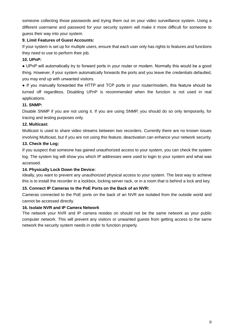someone collecting those passwords and trying them out on your video surveillance system. Using a different username and password for your security system will make it more difficult for someone to guess their way into your system.

#### **9. Limit Features of Guest Accounts:**

If your system is set up for multiple users, ensure that each user only has rights to features and functions they need to use to perform their job.

#### **10. UPnP:**

● UPnP will automatically try to forward ports in your router or modem. Normally this would be a good thing. However, if your system automatically forwards the ports and you leave the credentials defaulted, you may end up with unwanted visitors.

● If you manually forwarded the HTTP and TCP ports in your router/modem, this feature should be turned off regardless. Disabling UPnP is recommended when the function is not used in real applications.

#### **11. SNMP:**

Disable SNMP if you are not using it. If you are using SNMP, you should do so only temporarily, for tracing and testing purposes only.

#### **12. Multicast:**

Multicast is used to share video streams between two recorders. Currently there are no known issues involving Multicast, but if you are not using this feature, deactivation can enhance your network security.

#### **13. Check the Log:**

If you suspect that someone has gained unauthorized access to your system, you can check the system log. The system log will show you which IP addresses were used to login to your system and what was accessed.

#### **14. Physically Lock Down the Device:**

Ideally, you want to prevent any unauthorized physical access to your system. The best way to achieve this is to install the recorder in a lockbox, locking server rack, or in a room that is behind a lock and key.

#### **15. Connect IP Cameras to the PoE Ports on the Back of an NVR:**

Cameras connected to the PoE ports on the back of an NVR are isolated from the outside world and cannot be accessed directly.

#### **16. Isolate NVR and IP Camera Network**

The network your NVR and IP camera resides on should not be the same network as your public computer network. This will prevent any visitors or unwanted guests from getting access to the same network the security system needs in order to function properly.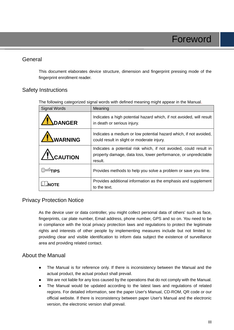## <span id="page-3-0"></span>General

This document elaborates device structure, dimension and fingerprint pressing mode of the fingerprint enrollment reader.

## Safety Instructions

The following categorized signal words with defined meaning might appear in the Manual.

| <b>Signal Words</b> | Meaning                                                                                                                                         |
|---------------------|-------------------------------------------------------------------------------------------------------------------------------------------------|
| <b>DANGER</b>       | Indicates a high potential hazard which, if not avoided, will result<br>in death or serious injury.                                             |
| <b>WARNING</b>      | Indicates a medium or low potential hazard which, if not avoided,<br>could result in slight or moderate injury.                                 |
| <b>CAUTION</b>      | Indicates a potential risk which, if not avoided, could result in<br>property damage, data loss, lower performance, or unpredictable<br>result. |
| <b>TIPS</b>         | Provides methods to help you solve a problem or save you time.                                                                                  |
|                     | Provides additional information as the emphasis and supplement<br>to the text.                                                                  |

## Privacy Protection Notice

As the device user or data controller, you might collect personal data of others' such as face, fingerprints, car plate number, Email address, phone number, GPS and so on. You need to be in compliance with the local privacy protection laws and regulations to protect the legitimate rights and interests of other people by implementing measures include but not limited to: providing clear and visible identification to inform data subject the existence of surveillance area and providing related contact.

### About the Manual

- The Manual is for reference only. If there is inconsistency between the Manual and the actual product, the actual product shall prevail.
- We are not liable for any loss caused by the operations that do not comply with the Manual.
- The Manual would be updated according to the latest laws and regulations of related regions. For detailed information, see the paper User's Manual, CD-ROM, QR code or our official website. If there is inconsistency between paper User's Manual and the electronic version, the electronic version shall prevail.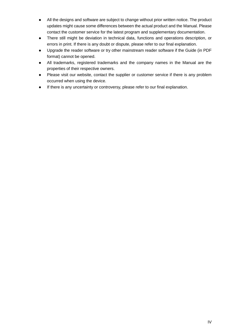- All the designs and software are subject to change without prior written notice. The product updates might cause some differences between the actual product and the Manual. Please contact the customer service for the latest program and supplementary documentation.
- There still might be deviation in technical data, functions and operations description, or errors in print. If there is any doubt or dispute, please refer to our final explanation.
- Upgrade the reader software or try other mainstream reader software if the Guide (in PDF format) cannot be opened.
- [All trademarks, registered trademarks and the company names in the Manual are the](http://www.affordablelaundry.com/all-trademarks-and-registered-trademarks-are-the-property-of-their-respective-owners)  [properties of their respective owners.](http://www.affordablelaundry.com/all-trademarks-and-registered-trademarks-are-the-property-of-their-respective-owners)
- Please visit our website, contact the supplier or customer service if there is any problem occurred when using the device.
- If there is any uncertainty or controversy, please refer to our final explanation.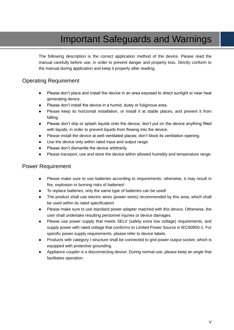# Important Safeguards and Warnings

<span id="page-5-0"></span>The following description is the correct application method of the device. Please read the manual carefully before use, in order to prevent danger and property loss. Strictly conform to the manual during application and keep it properly after reading.

## Operating Requirement

- Please don't place and install the device in an area exposed to direct sunlight or near heat generating device.
- Please don't install the device in a humid, dusty or fuliginous area.
- Please keep its horizontal installation, or install it at stable places, and prevent it from falling.
- Please don't drip or splash liquids onto the device; don't put on the device anything filled with liquids, in order to prevent liquids from flowing into the device.
- Please install the device at well-ventilated places; don't block its ventilation opening.
- Use the device only within rated input and output range.
- Please don't dismantle the device arbitrarily.
- Please transport, use and store the device within allowed humidity and temperature range.

## Power Requirement

- Please make sure to use batteries according to requirements; otherwise, it may result in fire, explosion or burning risks of batteries!
- To replace batteries, only the same type of batteries can be used!
- The product shall use electric wires (power wires) recommended by this area, which shall be used within its rated specification!
- Please make sure to use standard power adapter matched with this device. Otherwise, the user shall undertake resulting personnel injuries or device damages.
- Please use power supply that meets SELV (safety extra low voltage) requirements, and supply power with rated voltage that conforms to Limited Power Source in IEC60950-1. For specific power supply requirements, please refer to device labels.
- Products with category I structure shall be connected to grid power output socket, which is equipped with protective grounding.
- Appliance coupler is a disconnecting device. During normal use, please keep an angle that facilitates operation.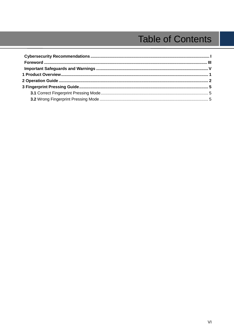# **Table of Contents**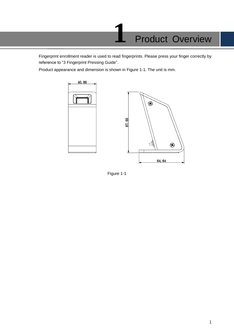<span id="page-7-0"></span>Fingerprint enrollment reader is used to read fingerprints. Please press your finger correctly by reference to ["3](#page-11-0) [Fingerprint Pressing Guide"](#page-11-0).

Product appearance and dimension is shown in [Figure 1-1.](#page-7-1) The unit is mm.



<span id="page-7-1"></span>Figure 1-1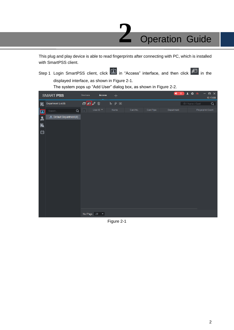# **2** Operation Guide

<span id="page-8-0"></span>This plug and play device is able to read fingerprints after connecting with PC, which is installed with SmartPSS client.

Step 1 Login SmartPSS client, click **in "Access"** interface, and then click **in** in the

displayed interface, as shown in [Figure 2-1.](#page-8-1)

The system pops up "Add User" dialog box, as shown in [Figure 2-2.](#page-9-0)

<span id="page-8-1"></span>

Figure 2-1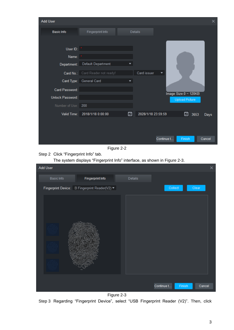| Add User          |                                  |                                               | × |
|-------------------|----------------------------------|-----------------------------------------------|---|
| <b>Basic Info</b> | Fingerprint Info                 | <b>Details</b>                                |   |
|                   |                                  |                                               |   |
| User ID:          |                                  |                                               |   |
| Name:             |                                  |                                               |   |
| Department:       | Default Department               |                                               |   |
|                   | Card No.: Card Reader not ready! | Card issuer                                   |   |
| Card Type:        | General Card                     |                                               |   |
| Card Password:    |                                  |                                               |   |
| Unlock Password:  |                                  | Image Size:0 ~ 120KB<br><b>Upload Picture</b> |   |
| Number of Use:    | 200                              |                                               |   |
| Valid Time:       | 2018/1/18 0:00:00                | 圃<br>2028/1/18 23:59:59<br>▣<br>3653<br>Days  |   |
|                   |                                  |                                               |   |
|                   |                                  |                                               |   |
|                   |                                  | Continue t<br>Cancel<br>Finish                |   |

Figure 2-2

<span id="page-9-0"></span>Step 2 Click "Fingerprint Info" tab.

<span id="page-9-1"></span>The system displays "Fingerprint Info" interface, as shown in [Figure 2-3.](#page-9-1)



Figure 2-3 Step 3 Regarding "Fingerprint Device", select "USB Fingerprint Reader (V2)". Then, click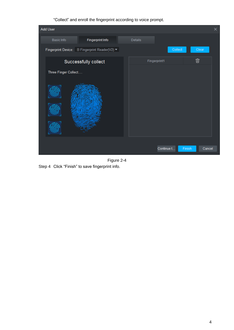#### "Collect" and enroll the fingerprint according to voice prompt.





Step 4 Click "Finish" to save fingerprint info.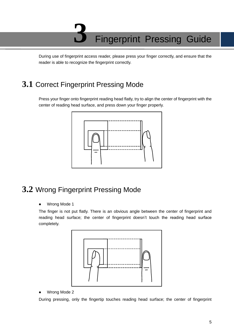# **3** Fingerprint Pressing Guide

<span id="page-11-0"></span>During use of fingerprint access reader, please press your finger correctly, and ensure that the reader is able to recognize the fingerprint correctly.

# <span id="page-11-1"></span>**3.1** Correct Fingerprint Pressing Mode

Press your finger onto fingerprint reading head flatly, try to align the center of fingerprint with the center of reading head surface, and press down your finger properly.



## <span id="page-11-2"></span>**3.2** Wrong Fingerprint Pressing Mode

#### Wrong Mode 1

The finger is not put flatly. There is an obvious angle between the center of fingerprint and reading head surface; the center of fingerprint doesn't touch the reading head surface completely.



Wrong Mode 2

During pressing, only the fingertip touches reading head surface; the center of fingerprint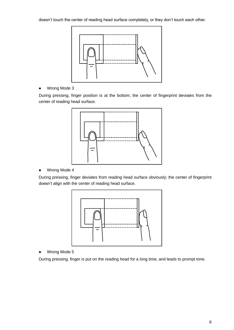doesn't touch the center of reading head surface completely, or they don't touch each other.



Wrong Mode 3

During pressing, finger position is at the bottom; the center of fingerprint deviates from the center of reading head surface.



Wrong Mode 4

During pressing, finger deviates from reading head surface obviously; the center of fingerprint doesn't align with the center of reading head surface.



Wrong Mode 5

During pressing, finger is put on the reading head for a long time, and leads to prompt tone.